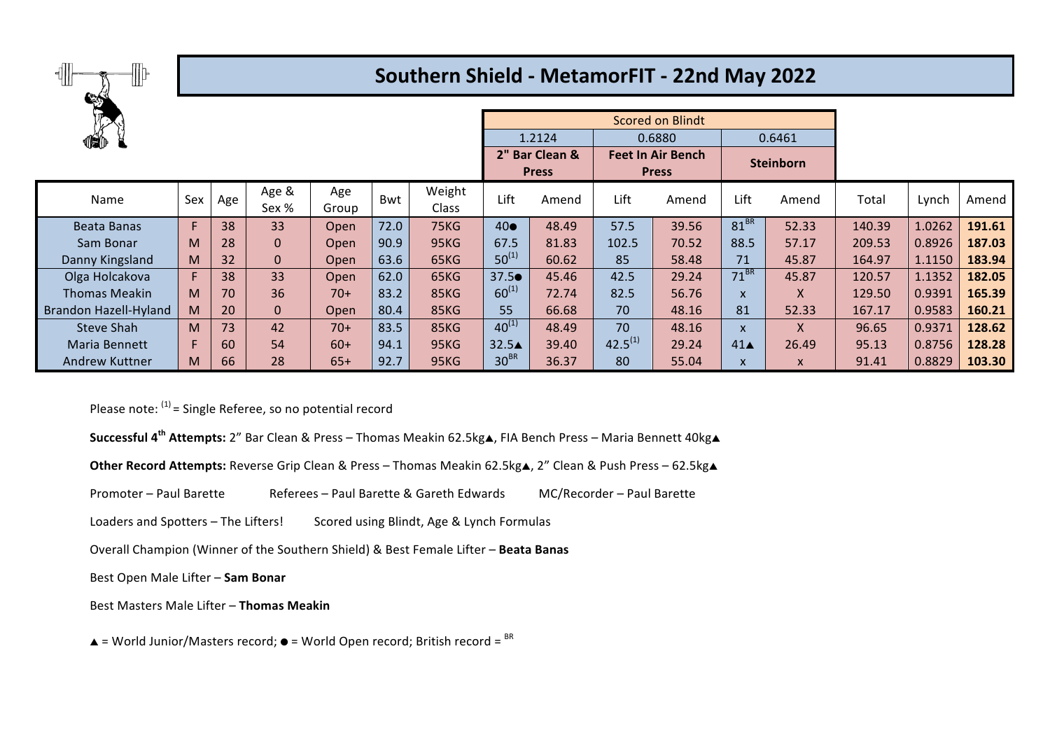

## **Southern Shield - MetamorFIT - 22nd May 2022**

|                       |     |     | <b>Scored on Blindt</b> |              |      |                 |                 |                                |              |                                          |                    |                  |        |        |        |
|-----------------------|-----|-----|-------------------------|--------------|------|-----------------|-----------------|--------------------------------|--------------|------------------------------------------|--------------------|------------------|--------|--------|--------|
| 460                   |     |     |                         |              |      |                 |                 | 1.2124                         |              | 0.6880                                   |                    | 0.6461           |        |        |        |
|                       |     |     |                         |              |      |                 |                 | 2" Bar Clean &<br><b>Press</b> |              | <b>Feet In Air Bench</b><br><b>Press</b> |                    | <b>Steinborn</b> |        |        |        |
| Name                  | Sex | Age | Age &<br>Sex %          | Age<br>Group | Bwt  | Weight<br>Class | Lift            | Amend                          | Lift         | Amend                                    | Lift               | Amend            | Total  | Lynch  | Amend  |
| Beata Banas           | F.  | 38  | 33                      | Open         | 72.0 | <b>75KG</b>     | $40\bullet$     | 48.49                          | 57.5         | 39.56                                    | $81^{BR}$          | 52.33            | 140.39 | 1.0262 | 191.61 |
| Sam Bonar             | M   | 28  | $\mathbf{0}$            | Open         | 90.9 | <b>95KG</b>     | 67.5            | 81.83                          | 102.5        | 70.52                                    | 88.5               | 57.17            | 209.53 | 0.8926 | 187.03 |
| Danny Kingsland       | M   | 32  | $\mathbf{0}$            | Open         | 63.6 | 65KG            | $50^{(1)}$      | 60.62                          | 85           | 58.48                                    | 71                 | 45.87            | 164.97 | 1.1150 | 183.94 |
| Olga Holcakova        | F.  | 38  | 33                      | Open         | 62.0 | 65KG            | $37.5\bullet$   | 45.46                          | 42.5         | 29.24                                    | $71^{BR}$          | 45.87            | 120.57 | 1.1352 | 182.05 |
| <b>Thomas Meakin</b>  | M   | 70  | 36                      | $70+$        | 83.2 | 85KG            | $60^{(1)}$      | 72.74                          | 82.5         | 56.76                                    | $\mathsf{x}$       | X                | 129.50 | 0.9391 | 165.39 |
| Brandon Hazell-Hyland | M   | 20  | $\mathbf 0$             | Open         | 80.4 | 85KG            | 55              | 66.68                          | 70           | 48.16                                    | 81                 | 52.33            | 167.17 | 0.9583 | 160.21 |
| <b>Steve Shah</b>     | M   | 73  | 42                      | $70+$        | 83.5 | 85KG            | $40^{(1)}$      | 48.49                          | 70           | 48.16                                    | $\mathsf{x}$       | X                | 96.65  | 0.9371 | 128.62 |
| <b>Maria Bennett</b>  | F   | 60  | 54                      | $60+$        | 94.1 | <b>95KG</b>     | $32.5\triangle$ | 39.40                          | $42.5^{(1)}$ | 29.24                                    | $41\blacktriangle$ | 26.49            | 95.13  | 0.8756 | 128.28 |
| Andrew Kuttner        | M   | 66  | 28                      | $65+$        | 92.7 | <b>95KG</b>     | $30^{BR}$       | 36.37                          | 80           | 55.04                                    | $\mathsf{x}$       | $\mathsf{x}$     | 91.41  | 0.8829 | 103.30 |

Please note:  $(1)$  = Single Referee, so no potential record

- **Successful 4<sup>th</sup> Attempts:** 2" Bar Clean & Press Thomas Meakin 62.5kg▲, FIA Bench Press Maria Bennett 40kg▲
- **Other Record Attempts:** Reverse Grip Clean & Press Thomas Meakin 62.5kg▲, 2" Clean & Push Press 62.5kg▲
- Promoter Paul Barette Referees Paul Barette & Gareth Edwards MC/Recorder Paul Barette
- Loaders and Spotters The Lifters! Scored using Blindt, Age & Lynch Formulas
- Overall Champion (Winner of the Southern Shield) & Best Female Lifter Beata Banas
- Best Open Male Lifter Sam Bonar
- Best Masters Male Lifter Thomas Meakin
- $\triangle$  = World Junior/Masters record;  $\bullet$  = World Open record; British record =  $\text{BR}$